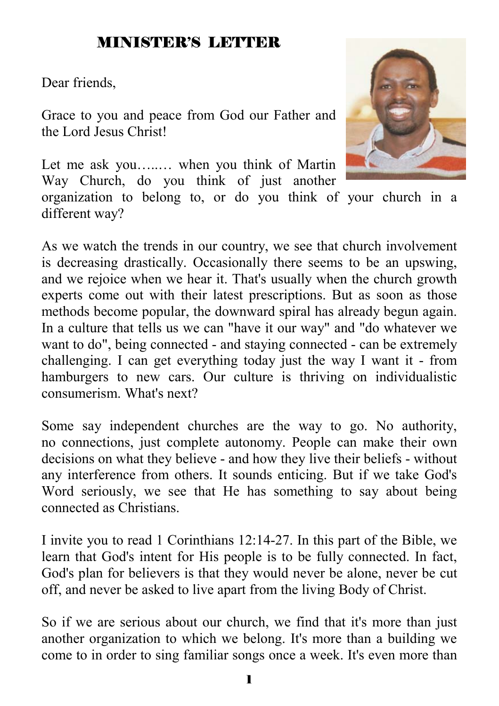# MINISTER'S LETTER

Dear friends,

Grace to you and peace from God our Father and the Lord Jesus Christ!

Let me ask you........ when you think of Martin Way Church, do you think of just another

organization to belong to, or do you think of your church in a different way?

As we watch the trends in our country, we see that church involvement is decreasing drastically. Occasionally there seems to be an upswing, and we rejoice when we hear it. That's usually when the church growth experts come out with their latest prescriptions. But as soon as those methods become popular, the downward spiral has already begun again. In a culture that tells us we can "have it our way" and "do whatever we want to do", being connected - and staying connected - can be extremely challenging. I can get everything today just the way I want it - from hamburgers to new cars. Our culture is thriving on individualistic consumerism. What's next?

Some say independent churches are the way to go. No authority, no connections, just complete autonomy. People can make their own decisions on what they believe - and how they live their beliefs - without any interference from others. It sounds enticing. But if we take God's Word seriously, we see that He has something to say about being connected as Christians.

I invite you to read 1 Corinthians 12:14-27. In this part of the Bible, we learn that God's intent for His people is to be fully connected. In fact, God's plan for believers is that they would never be alone, never be cut off, and never be asked to live apart from the living Body of Christ.

So if we are serious about our church, we find that it's more than just another organization to which we belong. It's more than a building we come to in order to sing familiar songs once a week. It's even more than

1

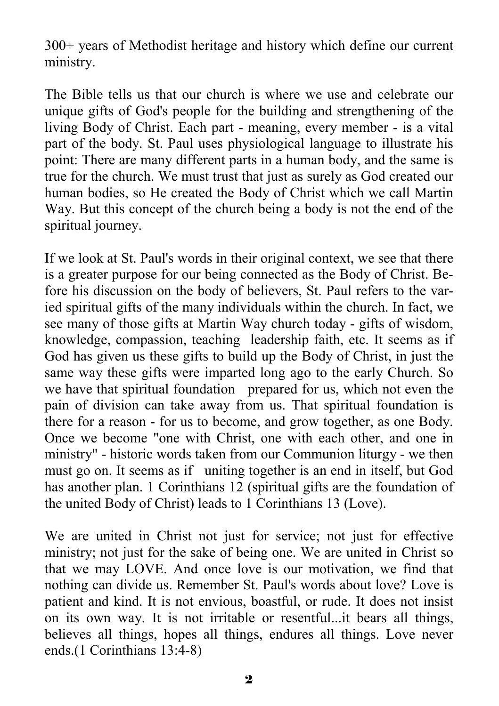300+ years of Methodist heritage and history which define our current ministry.

The Bible tells us that our church is where we use and celebrate our unique gifts of God's people for the building and strengthening of the living Body of Christ. Each part - meaning, every member - is a vital part of the body. St. Paul uses physiological language to illustrate his point: There are many different parts in a human body, and the same is true for the church. We must trust that just as surely as God created our human bodies, so He created the Body of Christ which we call Martin Way. But this concept of the church being a body is not the end of the spiritual journey.

If we look at St. Paul's words in their original context, we see that there is a greater purpose for our being connected as the Body of Christ. Before his discussion on the body of believers, St. Paul refers to the varied spiritual gifts of the many individuals within the church. In fact, we see many of those gifts at Martin Way church today - gifts of wisdom, knowledge, compassion, teaching leadership faith, etc. It seems as if God has given us these gifts to build up the Body of Christ, in just the same way these gifts were imparted long ago to the early Church. So we have that spiritual foundation prepared for us, which not even the pain of division can take away from us. That spiritual foundation is there for a reason - for us to become, and grow together, as one Body. Once we become "one with Christ, one with each other, and one in ministry" - historic words taken from our Communion liturgy - we then must go on. It seems as if uniting together is an end in itself, but God has another plan. 1 Corinthians 12 (spiritual gifts are the foundation of the united Body of Christ) leads to 1 Corinthians 13 (Love).

We are united in Christ not just for service; not just for effective ministry; not just for the sake of being one. We are united in Christ so that we may LOVE. And once love is our motivation, we find that nothing can divide us. Remember St. Paul's words about love? Love is patient and kind. It is not envious, boastful, or rude. It does not insist on its own way. It is not irritable or resentful...it bears all things, believes all things, hopes all things, endures all things. Love never ends.(1 Corinthians 13:4-8)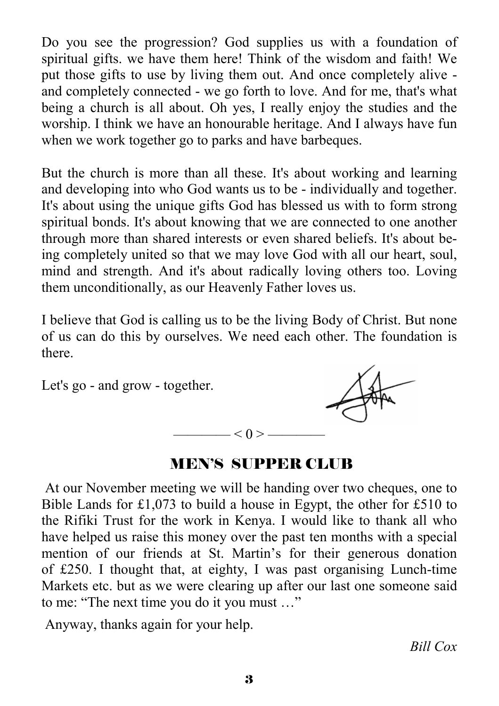Do you see the progression? God supplies us with a foundation of spiritual gifts. we have them here! Think of the wisdom and faith! We put those gifts to use by living them out. And once completely alive and completely connected - we go forth to love. And for me, that's what being a church is all about. Oh yes, I really enjoy the studies and the worship. I think we have an honourable heritage. And I always have fun when we work together go to parks and have barbeques.

But the church is more than all these. It's about working and learning and developing into who God wants us to be - individually and together. It's about using the unique gifts God has blessed us with to form strong spiritual bonds. It's about knowing that we are connected to one another through more than shared interests or even shared beliefs. It's about being completely united so that we may love God with all our heart, soul, mind and strength. And it's about radically loving others too. Loving them unconditionally, as our Heavenly Father loves us.

I believe that God is calling us to be the living Body of Christ. But none of us can do this by ourselves. We need each other. The foundation is there.

Let's go - and grow - together.



# MEN'S SUPPER CLUB

 $- < 0 > -$ 

 At our November meeting we will be handing over two cheques, one to Bible Lands for £1,073 to build a house in Egypt, the other for £510 to the Rifiki Trust for the work in Kenya. I would like to thank all who have helped us raise this money over the past ten months with a special mention of our friends at St. Martin's for their generous donation of £250. I thought that, at eighty, I was past organising Lunch-time Markets etc. but as we were clearing up after our last one someone said to me: "The next time you do it you must …"

Anyway, thanks again for your help.

*Bill Cox*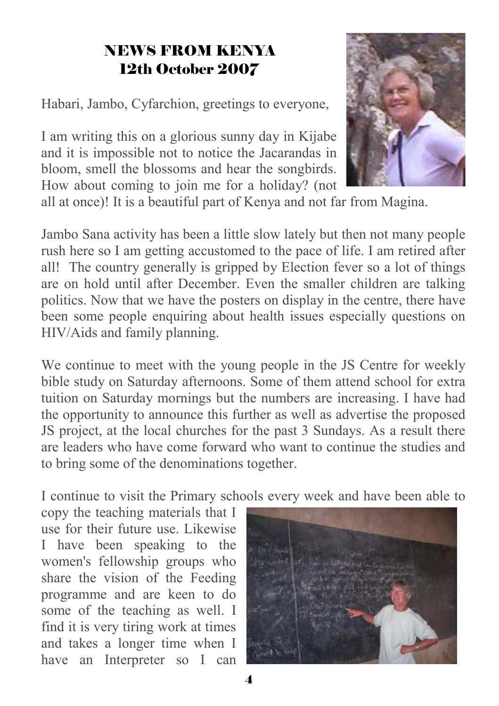# NEWS FROM KENYA 12th October 2007

Habari, Jambo, Cyfarchion, greetings to everyone,

I am writing this on a glorious sunny day in Kijabe and it is impossible not to notice the Jacarandas in bloom, smell the blossoms and hear the songbirds. How about coming to join me for a holiday? (not



all at once)! It is a beautiful part of Kenya and not far from Magina.

Jambo Sana activity has been a little slow lately but then not many people rush here so I am getting accustomed to the pace of life. I am retired after all! The country generally is gripped by Election fever so a lot of things are on hold until after December. Even the smaller children are talking politics. Now that we have the posters on display in the centre, there have been some people enquiring about health issues especially questions on HIV/Aids and family planning.

We continue to meet with the young people in the JS Centre for weekly bible study on Saturday afternoons. Some of them attend school for extra tuition on Saturday mornings but the numbers are increasing. I have had the opportunity to announce this further as well as advertise the proposed JS project, at the local churches for the past 3 Sundays. As a result there are leaders who have come forward who want to continue the studies and to bring some of the denominations together.

I continue to visit the Primary schools every week and have been able to

copy the teaching materials that I use for their future use. Likewise I have been speaking to the women's fellowship groups who share the vision of the Feeding programme and are keen to do some of the teaching as well. I find it is very tiring work at times and takes a longer time when I have an Interpreter so I can

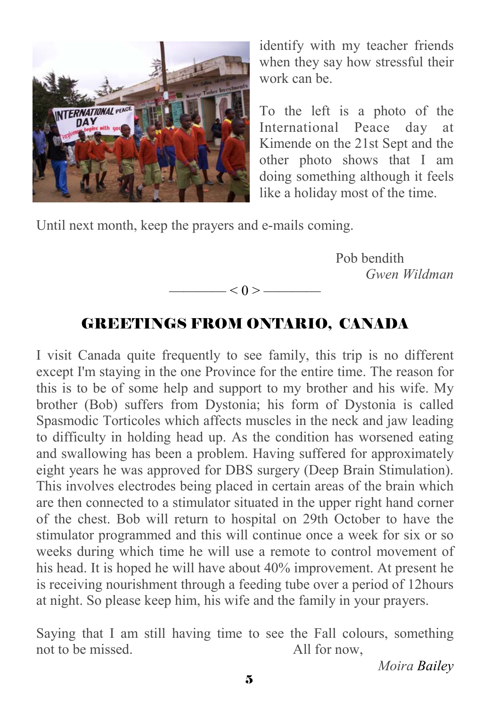

identify with my teacher friends when they say how stressful their work can be.

To the left is a photo of the International Peace day at Kimende on the 21st Sept and the other photo shows that I am doing something although it feels like a holiday most of the time.

Until next month, keep the prayers and e-mails coming.

 Pob bendith *Gwen Wildman* 

# GREETINGS FROM ONTARIO, CANADA

 $\left| \alpha \right| < 0 \right| >$ 

I visit Canada quite frequently to see family, this trip is no different except I'm staying in the one Province for the entire time. The reason for this is to be of some help and support to my brother and his wife. My brother (Bob) suffers from Dystonia; his form of Dystonia is called Spasmodic Torticoles which affects muscles in the neck and jaw leading to difficulty in holding head up. As the condition has worsened eating and swallowing has been a problem. Having suffered for approximately eight years he was approved for DBS surgery (Deep Brain Stimulation). This involves electrodes being placed in certain areas of the brain which are then connected to a stimulator situated in the upper right hand corner of the chest. Bob will return to hospital on 29th October to have the stimulator programmed and this will continue once a week for six or so weeks during which time he will use a remote to control movement of his head. It is hoped he will have about 40% improvement. At present he is receiving nourishment through a feeding tube over a period of 12hours at night. So please keep him, his wife and the family in your prayers.

Saying that I am still having time to see the Fall colours, something not to be missed. All for now,

*Moira Bailey*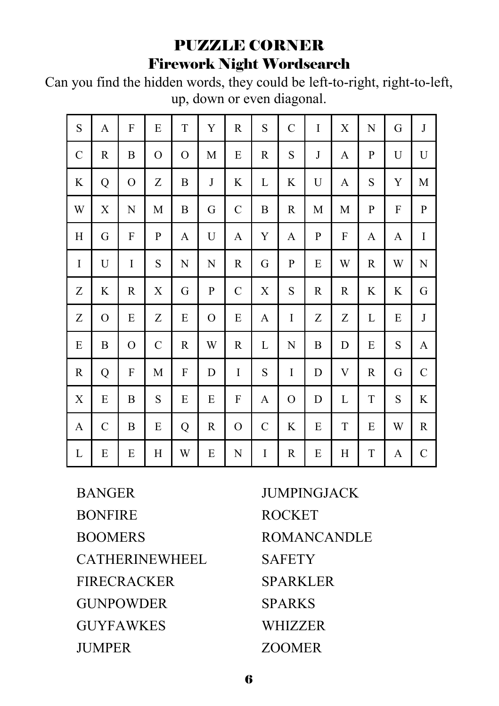# PUZZLE CORNER Firework Night Wordsearch

Can you find the hidden words, they could be left-to-right, right-to-left, up, down or even diagonal.

| S                     | A            | F             | E        | T         | Y           | R             | S | $\mathsf{C}$ | I | Х | N           | G | $\bf J$     |
|-----------------------|--------------|---------------|----------|-----------|-------------|---------------|---|--------------|---|---|-------------|---|-------------|
| $\mathcal{C}_{0}^{0}$ | R            | B             | $\rm _O$ | O         | М           | E             | R | S            | J | A | P           | U | U           |
| K                     | Q            | $\mathcal{O}$ | Z        | B         | $_{\rm J}$  | K             | L | K            | U | A | $\mathbf S$ | Y | M           |
| W                     | X            | N             | M        | B         | G           | $\mathcal{C}$ | B | R            | M | M | $\mathbf P$ | F | $\mathbf P$ |
| H                     | G            | F             | P        | A         | U           | A             | Y | A            | P | F | A           | A | I           |
| I                     | U            | I             | S        | ${\bf N}$ | N           | R             | G | P            | E | W | R           | W | N           |
| Ζ                     | K            | R             | X        | G         | P           | $\mathcal{C}$ | X | S            | R | R | K           | K | G           |
| Ζ                     | O            | Е             | Z        | E         | O           | E             | A | I            | Ζ | Ζ | L           | E | J           |
| E                     | B            | O             | C        | R         | W           | R             | L | N            | B | D | E           | S | A           |
| $\mathbf R$           | Q            | F             | M        | F         | D           | I             | S | I            | D | V | R           | G | $\mathbf C$ |
| $\mathbf X$           | E            | B             | S        | E         | $\mathbf E$ | F             | A | O            | D | L | $\mathbf T$ | S | K           |
| A                     | $\mathsf{C}$ | B             | E        | Q         | R           | O             | C | K            | E | T | E           | W | R           |
| L                     | E            | E             | Η        | W         | E           | N             | I | $\mathbf R$  | E | Η | T           | A | $\mathbf C$ |

BANGER **BONFIRE** BOOMERS CATHERINEWHEEL FIRECRACKER **GUNPOWDER** GUYFAWKES **JUMPER** 

JUMPINGJACK ROCKET ROMANCANDLE **SAFETY** SPARKLER SPARKS **WHIZZER** ZOOMER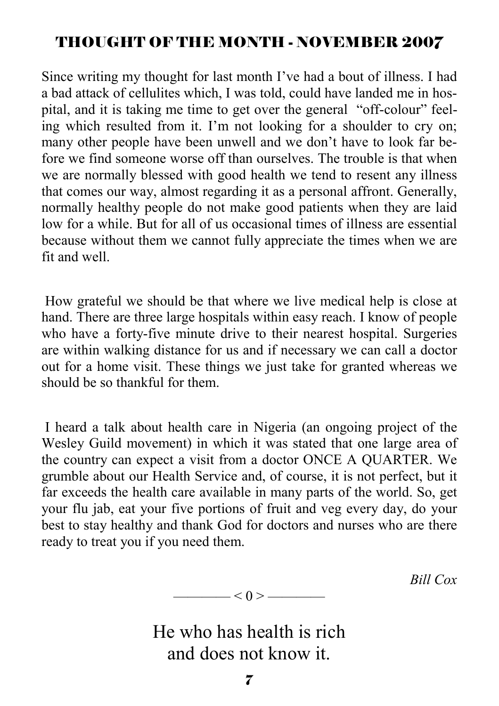# THOUGHT OF THE MONTH - NOVEMBER 2007

Since writing my thought for last month I've had a bout of illness. I had a bad attack of cellulites which, I was told, could have landed me in hospital, and it is taking me time to get over the general "off-colour" feeling which resulted from it. I'm not looking for a shoulder to cry on; many other people have been unwell and we don't have to look far before we find someone worse off than ourselves. The trouble is that when we are normally blessed with good health we tend to resent any illness that comes our way, almost regarding it as a personal affront. Generally, normally healthy people do not make good patients when they are laid low for a while. But for all of us occasional times of illness are essential because without them we cannot fully appreciate the times when we are fit and well.

 How grateful we should be that where we live medical help is close at hand. There are three large hospitals within easy reach. I know of people who have a forty-five minute drive to their nearest hospital. Surgeries are within walking distance for us and if necessary we can call a doctor out for a home visit. These things we just take for granted whereas we should be so thankful for them.

 I heard a talk about health care in Nigeria (an ongoing project of the Wesley Guild movement) in which it was stated that one large area of the country can expect a visit from a doctor ONCE A QUARTER. We grumble about our Health Service and, of course, it is not perfect, but it far exceeds the health care available in many parts of the world. So, get your flu jab, eat your five portions of fruit and veg every day, do your best to stay healthy and thank God for doctors and nurses who are there ready to treat you if you need them.

*Bill Cox* 

He who has health is rich

———— < 0 > ————

and does not know it.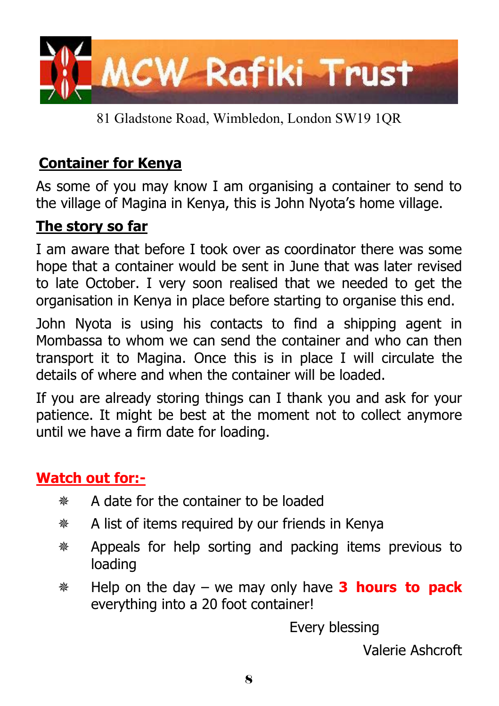

81 Gladstone Road, Wimbledon, London SW19 1QR

# **Container for Kenya**

As some of you may know I am organising a container to send to the village of Magina in Kenya, this is John Nyota's home village.

# **The story so far**

I am aware that before I took over as coordinator there was some hope that a container would be sent in June that was later revised to late October. I very soon realised that we needed to get the organisation in Kenya in place before starting to organise this end.

John Nyota is using his contacts to find a shipping agent in Mombassa to whom we can send the container and who can then transport it to Magina. Once this is in place I will circulate the details of where and when the container will be loaded.

If you are already storing things can I thank you and ask for your patience. It might be best at the moment not to collect anymore until we have a firm date for loading.

# **Watch out for:-**

- A date for the container to be loaded
- A list of items required by our friends in Kenya
- Appeals for help sorting and packing items previous to loading
- Help on the day we may only have **3 hours to pack** everything into a 20 foot container!

Every blessing

Valerie Ashcroft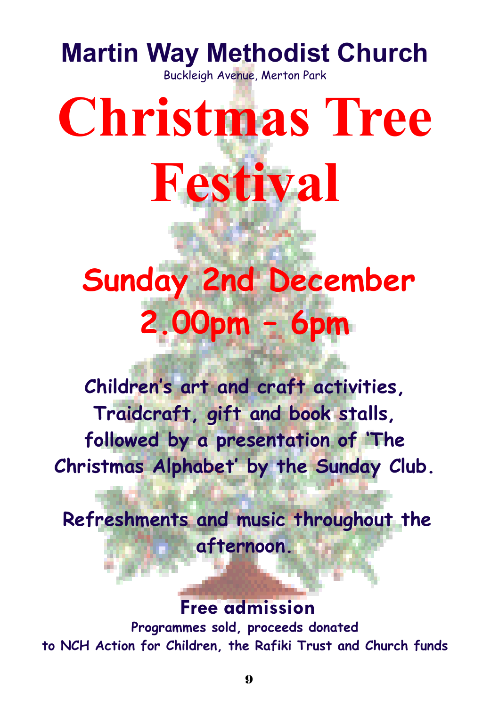# **Martin Way Methodist Church**

Buckleigh Avenue, Merton Park

# **Christmas Tree Festival**

# **Sunday 2nd December 2.00pm – 6pm**  Ì

**Children's art and craft activities, Traidcraft, gift and book stalls, followed by a presentation of 'The Christmas Alphabet' by the Sunday Club.** 

**Refreshments and music throughout the afternoon.** 

**Free admission Programmes sold, proceeds donated to NCH Action for Children, the Rafiki Trust and Church funds**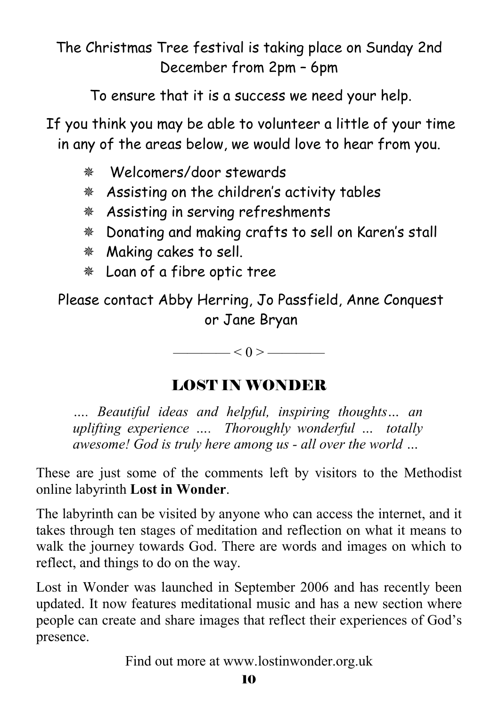# The Christmas Tree festival is taking place on Sunday 2nd December from 2pm – 6pm

To ensure that it is a success we need your help.

If you think you may be able to volunteer a little of your time in any of the areas below, we would love to hear from you.

- Welcomers/door stewards
- Assisting on the children's activity tables
- Assisting in serving refreshments
- Donating and making crafts to sell on Karen's stall
- Making cakes to sell.
- Loan of a fibre optic tree

Please contact Abby Herring, Jo Passfield, Anne Conquest or Jane Bryan

 $\leq 0$  >  $\qquad$ 

# LOST IN WONDER

*…. Beautiful ideas and helpful, inspiring thoughts… an uplifting experience …. Thoroughly wonderful … totally awesome! God is truly here among us - all over the world …* 

These are just some of the comments left by visitors to the Methodist online labyrinth **Lost in Wonder**.

The labyrinth can be visited by anyone who can access the internet, and it takes through ten stages of meditation and reflection on what it means to walk the journey towards God. There are words and images on which to reflect, and things to do on the way.

Lost in Wonder was launched in September 2006 and has recently been updated. It now features meditational music and has a new section where people can create and share images that reflect their experiences of God's presence.

Find out more at www.lostinwonder.org.uk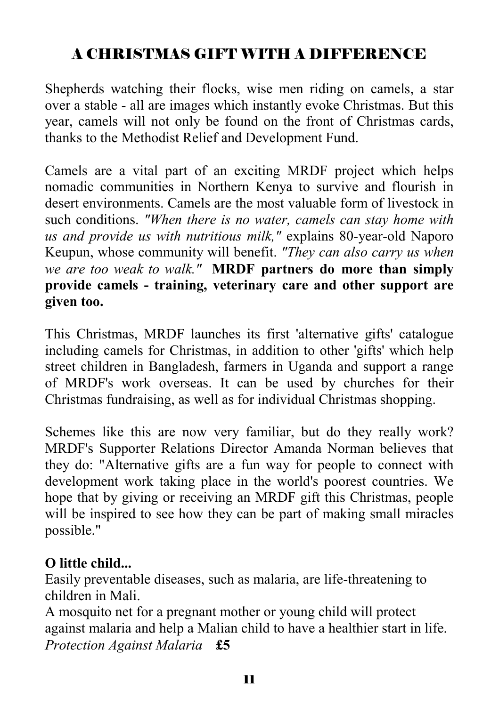# A CHRISTMAS GIFT WITH A DIFFERENCE

Shepherds watching their flocks, wise men riding on camels, a star over a stable - all are images which instantly evoke Christmas. But this year, camels will not only be found on the front of Christmas cards, thanks to the Methodist Relief and Development Fund.

Camels are a vital part of an exciting MRDF project which helps nomadic communities in Northern Kenya to survive and flourish in desert environments. Camels are the most valuable form of livestock in such conditions. *"When there is no water, camels can stay home with us and provide us with nutritious milk,"* explains 80-year-old Naporo Keupun, whose community will benefit. *"They can also carry us when we are too weak to walk."* **MRDF partners do more than simply provide camels - training, veterinary care and other support are given too.** 

This Christmas, MRDF launches its first 'alternative gifts' catalogue including camels for Christmas, in addition to other 'gifts' which help street children in Bangladesh, farmers in Uganda and support a range of MRDF's work overseas. It can be used by churches for their Christmas fundraising, as well as for individual Christmas shopping.

Schemes like this are now very familiar, but do they really work? MRDF's Supporter Relations Director Amanda Norman believes that they do: "Alternative gifts are a fun way for people to connect with development work taking place in the world's poorest countries. We hope that by giving or receiving an MRDF gift this Christmas, people will be inspired to see how they can be part of making small miracles possible."

# **O little child...**

Easily preventable diseases, such as malaria, are life-threatening to children in Mali.

A mosquito net for a pregnant mother or young child will protect against malaria and help a Malian child to have a healthier start in life. *Protection Against Malaria* **£5**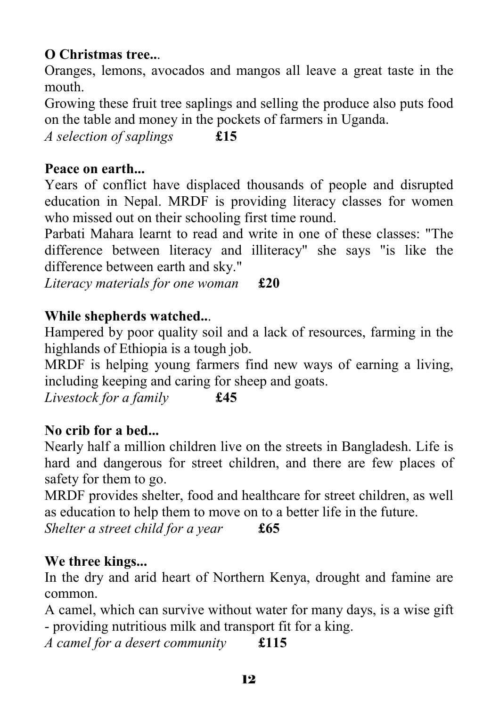# **O Christmas tree..**.

Oranges, lemons, avocados and mangos all leave a great taste in the mouth.

Growing these fruit tree saplings and selling the produce also puts food on the table and money in the pockets of farmers in Uganda.

*A selection of saplings* **£15** 

# **Peace on earth...**

Years of conflict have displaced thousands of people and disrupted education in Nepal. MRDF is providing literacy classes for women who missed out on their schooling first time round.

Parbati Mahara learnt to read and write in one of these classes: "The difference between literacy and illiteracy" she says "is like the difference between earth and sky."

*Literacy materials for one woman* **£20**

# **While shepherds watched..**.

Hampered by poor quality soil and a lack of resources, farming in the highlands of Ethiopia is a tough job.

MRDF is helping young farmers find new ways of earning a living, including keeping and caring for sheep and goats.

*Livestock for a family* **£45**

# **No crib for a bed...**

Nearly half a million children live on the streets in Bangladesh. Life is hard and dangerous for street children, and there are few places of safety for them to go.

MRDF provides shelter, food and healthcare for street children, as well as education to help them to move on to a better life in the future.

*Shelter a street child for a year* **£65**

# **We three kings...**

In the dry and arid heart of Northern Kenya, drought and famine are common.

A camel, which can survive without water for many days, is a wise gift - providing nutritious milk and transport fit for a king.

*A camel for a desert community* **£115**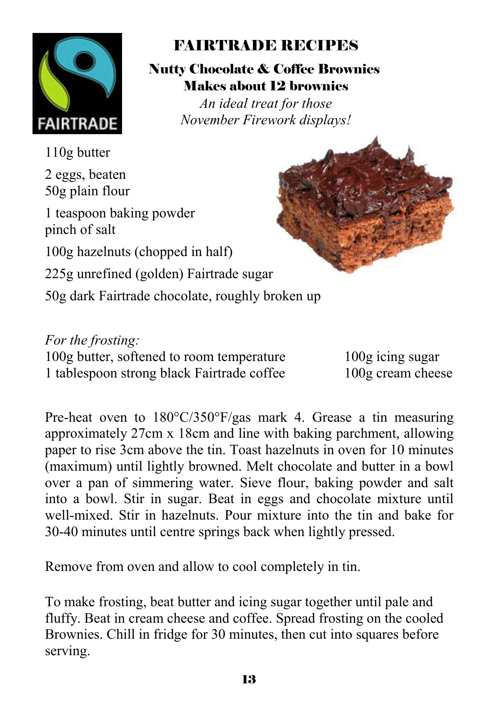

# FAIRTRADE RECIPES

Nutty Chocolate & Coffee Brownies Makes about 12 brownies

*An ideal treat for those November Firework displays!* 

110g butter

2 eggs, beaten 50g plain flour

1 teaspoon baking powder pinch of salt

100g hazelnuts (chopped in half)

225g unrefined (golden) Fairtrade sugar

50g dark Fairtrade chocolate, roughly broken up

*For the frosting:* 100g butter, softened to room temperature 100g icing sugar 1 tablespoon strong black Fairtrade coffee 100g cream cheese

Pre-heat oven to 180°C/350°F/gas mark 4. Grease a tin measuring approximately 27cm x 18cm and line with baking parchment, allowing paper to rise 3cm above the tin. Toast hazelnuts in oven for 10 minutes (maximum) until lightly browned. Melt chocolate and butter in a bowl over a pan of simmering water. Sieve flour, baking powder and salt into a bowl. Stir in sugar. Beat in eggs and chocolate mixture until well-mixed. Stir in hazelnuts. Pour mixture into the tin and bake for 30-40 minutes until centre springs back when lightly pressed.

Remove from oven and allow to cool completely in tin.

To make frosting, beat butter and icing sugar together until pale and fluffy. Beat in cream cheese and coffee. Spread frosting on the cooled Brownies. Chill in fridge for 30 minutes, then cut into squares before serving.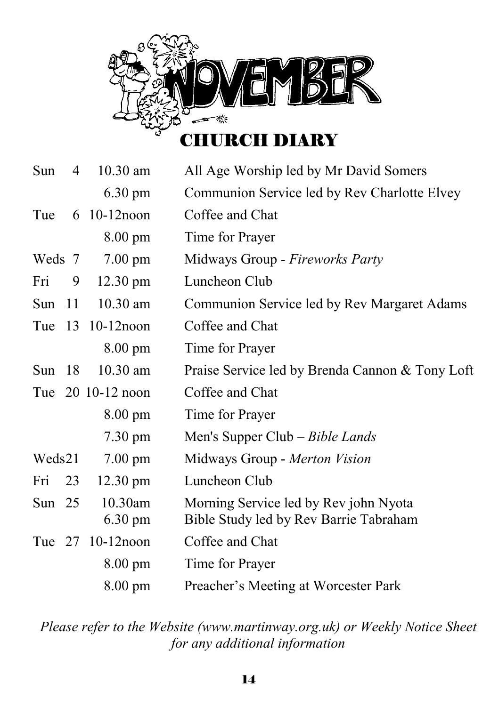

# Sun 4 10.30 am All Age Worship led by Mr David Somers 6.30 pm Communion Service led by Rev Charlotte Elvey Tue 6 10-12noon Coffee and Chat 8.00 pm Time for Prayer Weds 7 7.00 pm Midways Group - *Fireworks Party* Fri 9 12.30 pm Luncheon Club Sun 11 10.30 am Communion Service led by Rev Margaret Adams Tue 13 10-12noon Coffee and Chat 8.00 pm Time for Prayer Sun 18 10.30 am Praise Service led by Brenda Cannon & Tony Loft Tue 20 10-12 noon Coffee and Chat 8.00 pm Time for Prayer 7.30 pm Men's Supper Club – *Bible Lands*  Weds 21 7.00 pm Midways Group - *Merton Vision* Fri 23 12.30 pm Luncheon Club Sun 25 10.30am Morning Service led by Rev john Nyota 6.30 pm Bible Study led by Rev Barrie Tabraham Tue 27 10-12noon Coffee and Chat 8.00 pm Time for Prayer 8.00 pm Preacher's Meeting at Worcester Park

*Please refer to the Website (www.martinway.org.uk) or Weekly Notice Sheet for any additional information*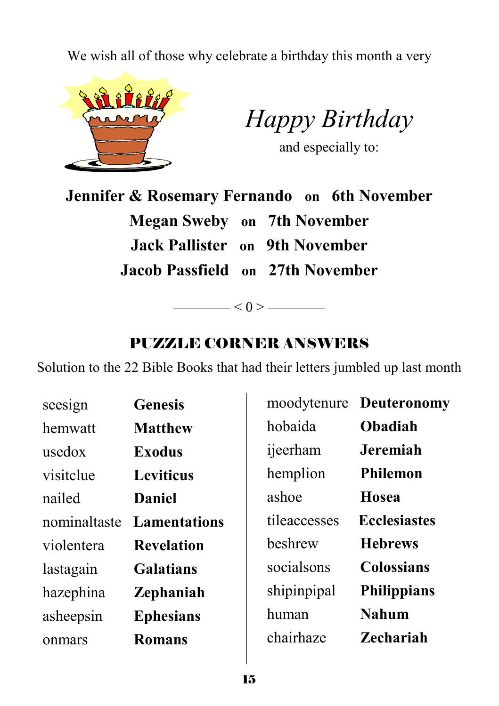We wish all of those why celebrate a birthday this month a very



*Happy Birthday* 

and especially to:

**Jennifer & Rosemary Fernando on 6th November Megan Sweby on 7th November Jack Pallister on 9th November Jacob Passfield on 27th November** 

# PUZZLE CORNER ANSWERS

 $\longrightarrow$   $<$  0 >  $\longrightarrow$ 

Solution to the 22 Bible Books that had their letters jumbled up last month

| <b>Genesis</b>      |              | moodytenure Deuteronomy |
|---------------------|--------------|-------------------------|
| <b>Matthew</b>      | hobaida      | <b>Obadiah</b>          |
| <b>Exodus</b>       | ijeerham     | <b>Jeremiah</b>         |
| <b>Leviticus</b>    | hemplion     | <b>Philemon</b>         |
| <b>Daniel</b>       | ashoe        | Hosea                   |
| <b>Lamentations</b> | tileaccesses | <b>Ecclesiastes</b>     |
| <b>Revelation</b>   | beshrew      | <b>Hebrews</b>          |
| <b>Galatians</b>    | socialsons   | <b>Colossians</b>       |
| <b>Zephaniah</b>    | shipinpipal  | <b>Philippians</b>      |
| <b>Ephesians</b>    | human        | <b>Nahum</b>            |
| <b>Romans</b>       | chairhaze    | <b>Zechariah</b>        |
|                     |              |                         |